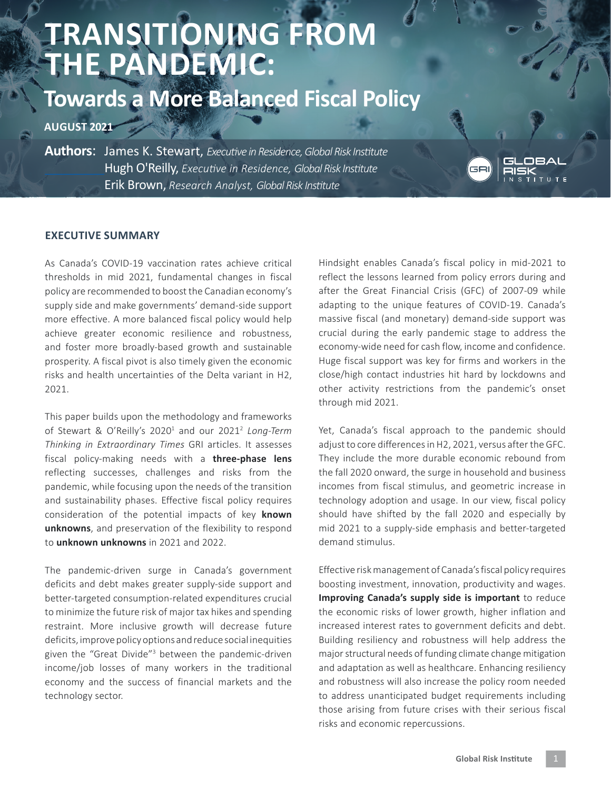## **TRANSITIONING FROM THE PANDEMIC:**

## **Towards a More Balanced Fiscal Policy**

**AUGUST 2021**

**Authors**: James K. Stewart, *Executive in Residence, Global Risk Institute* Hugh O'Reilly, *Executive in Residence, Global Risk Institute* Erik Brown, *Research Analyst, Global Risk Institute*



## **EXECUTIVE SUMMARY**

As Canada's COVID-19 vaccination rates achieve critical thresholds in mid 2021, fundamental changes in fiscal policy are recommended to boost the Canadian economy's supply side and make governments' demand-side support more effective. A more balanced fiscal policy would help achieve greater economic resilience and robustness, and foster more broadly-based growth and sustainable prosperity. A fiscal pivot is also timely given the economic risks and health uncertainties of the Delta variant in H2, 2021.

This paper builds upon the methodology and frameworks of Stewart & O'Reilly's 2020<sup>1</sup> and our 2021<sup>2</sup> Long-Term *Thinking in Extraordinary Times* GRI articles. It assesses fiscal policy-making needs with a **three-phase lens**  reflecting successes, challenges and risks from the pandemic, while focusing upon the needs of the transition and sustainability phases. Effective fiscal policy requires consideration of the potential impacts of key **known unknowns**, and preservation of the flexibility to respond to **unknown unknowns** in 2021 and 2022.

The pandemic-driven surge in Canada's government deficits and debt makes greater supply-side support and better-targeted consumption-related expenditures crucial to minimize the future risk of major tax hikes and spending restraint. More inclusive growth will decrease future deficits, improve policy options and reduce social inequities given the ["Great Divide"](https://globalriskinstitute.org/publications/fiscal-policy-and-the-economys-great-divide-addressing-the-income-and-jobs-gap-in-the-traditional-economy-2/)<sup>3</sup> between the pandemic-driven income/job losses of many workers in the traditional economy and the success of financial markets and the technology sector.

Hindsight enables Canada's fiscal policy in mid-2021 to reflect the lessons learned from policy errors during and after the Great Financial Crisis (GFC) of 2007-09 while adapting to the unique features of COVID-19. Canada's massive fiscal (and monetary) demand-side support was crucial during the early pandemic stage to address the economy-wide need for cash flow, income and confidence. Huge fiscal support was key for firms and workers in the close/high contact industries hit hard by lockdowns and other activity restrictions from the pandemic's onset through mid 2021.

Yet, Canada's fiscal approach to the pandemic should adjust to core differences in H2, 2021, versus after the GFC. They include the more durable economic rebound from the fall 2020 onward, the surge in household and business incomes from fiscal stimulus, and geometric increase in technology adoption and usage. In our view, fiscal policy should have shifted by the fall 2020 and especially by mid 2021 to a supply-side emphasis and better-targeted demand stimulus.

Effective risk management of Canada's fiscal policy requires boosting investment, innovation, productivity and wages. **Improving Canada's supply side is important** to reduce the economic risks of lower growth, higher inflation and increased interest rates to government deficits and debt. Building resiliency and robustness will help address the major structural needs of funding climate change mitigation and adaptation as well as healthcare. Enhancing resiliency and robustness will also increase the policy room needed to address unanticipated budget requirements including those arising from future crises with their serious fiscal risks and economic repercussions.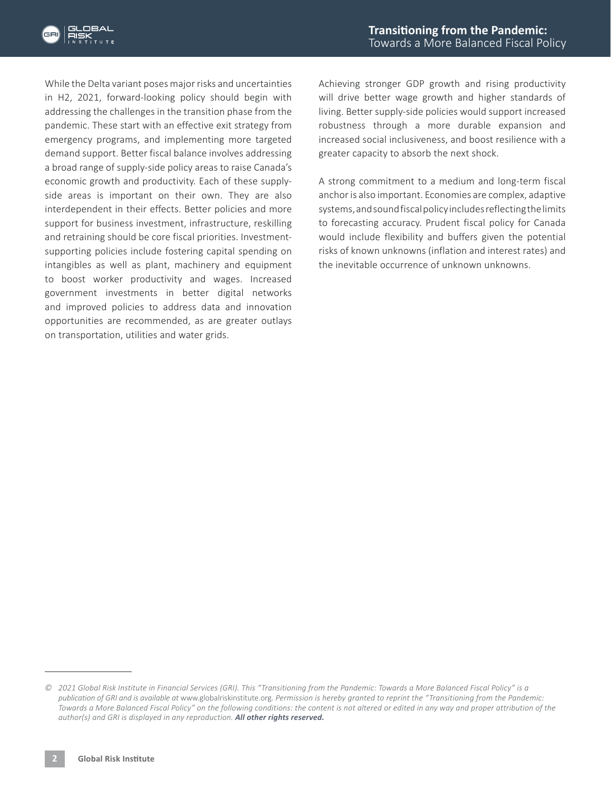

While the Delta variant poses major risks and uncertainties in H2, 2021, forward-looking policy should begin with addressing the challenges in the transition phase from the pandemic. These start with an effective exit strategy from emergency programs, and implementing more targeted demand support. Better fiscal balance involves addressing a broad range of supply-side policy areas to raise Canada's economic growth and productivity. Each of these supplyside areas is important on their own. They are also interdependent in their effects. Better policies and more support for business investment, infrastructure, reskilling and retraining should be core fiscal priorities. Investmentsupporting policies include fostering capital spending on intangibles as well as plant, machinery and equipment to boost worker productivity and wages. Increased government investments in better digital networks and improved policies to address data and innovation opportunities are recommended, as are greater outlays on transportation, utilities and water grids.

Achieving stronger GDP growth and rising productivity will drive better wage growth and higher standards of living. Better supply-side policies would support increased robustness through a more durable expansion and increased social inclusiveness, and boost resilience with a greater capacity to absorb the next shock.

A strong commitment to a medium and long-term fiscal anchor is also important. Economies are complex, adaptive systems, and sound fiscal policy includes reflecting the limits to forecasting accuracy. Prudent fiscal policy for Canada would include flexibility and buffers given the potential risks of known unknowns (inflation and interest rates) and the inevitable occurrence of unknown unknowns.

*<sup>©</sup> 2021 Global Risk Institute in Financial Services (GRI). This "Transitioning from the Pandemic: Towards a More Balanced Fiscal Policy" is a publication of GRI and is available at* www.globalriskinstitute.org. *Permission is hereby granted to reprint the "Transitioning from the Pandemic: Towards a More Balanced Fiscal Policy" on the following conditions: the content is not altered or edited in any way and proper attribution of the author(s) and GRI is displayed in any reproduction. All other rights reserved.*